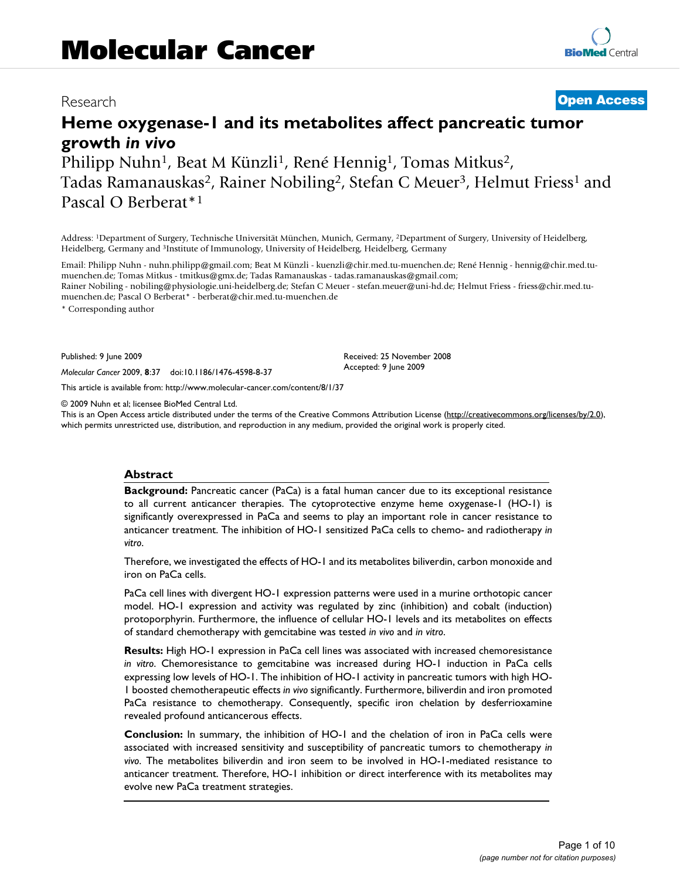## Research **[Open Access](http://www.biomedcentral.com/info/about/charter/)**

# **Heme oxygenase-1 and its metabolites affect pancreatic tumor growth** *in vivo*

Philipp Nuhn<sup>1</sup>, Beat M Künzli<sup>1</sup>, René Hennig<sup>1</sup>, Tomas Mitkus<sup>2</sup>, Tadas Ramanauskas<sup>2</sup>, Rainer Nobiling<sup>2</sup>, Stefan C Meuer<sup>3</sup>, Helmut Friess<sup>1</sup> and Pascal O Berberat\*1

Address: 1Department of Surgery, Technische Universität München, Munich, Germany, 2Department of Surgery, University of Heidelberg, Heidelberg, Germany and 3Institute of Immunology, University of Heidelberg, Heidelberg, Germany

Email: Philipp Nuhn - nuhn.philipp@gmail.com; Beat M Künzli - kuenzli@chir.med.tu-muenchen.de; René Hennig - hennig@chir.med.tumuenchen.de; Tomas Mitkus - tmitkus@gmx.de; Tadas Ramanauskas - tadas.ramanauskas@gmail.com; Rainer Nobiling - nobiling@physiologie.uni-heidelberg.de; Stefan C Meuer - stefan.meuer@uni-hd.de; Helmut Friess - friess@chir.med.tumuenchen.de; Pascal O Berberat\* - berberat@chir.med.tu-muenchen.de

\* Corresponding author

Published: 9 June 2009

*Molecular Cancer* 2009, **8**:37 doi:10.1186/1476-4598-8-37

[This article is available from: http://www.molecular-cancer.com/content/8/1/37](http://www.molecular-cancer.com/content/8/1/37)

© 2009 Nuhn et al; licensee BioMed Central Ltd.

This is an Open Access article distributed under the terms of the Creative Commons Attribution License [\(http://creativecommons.org/licenses/by/2.0\)](http://creativecommons.org/licenses/by/2.0), which permits unrestricted use, distribution, and reproduction in any medium, provided the original work is properly cited.

Received: 25 November 2008 Accepted: 9 June 2009

## **Abstract**

**Background:** Pancreatic cancer (PaCa) is a fatal human cancer due to its exceptional resistance to all current anticancer therapies. The cytoprotective enzyme heme oxygenase-1 (HO-1) is significantly overexpressed in PaCa and seems to play an important role in cancer resistance to anticancer treatment. The inhibition of HO-1 sensitized PaCa cells to chemo- and radiotherapy *in vitro*.

Therefore, we investigated the effects of HO-1 and its metabolites biliverdin, carbon monoxide and iron on PaCa cells.

PaCa cell lines with divergent HO-1 expression patterns were used in a murine orthotopic cancer model. HO-1 expression and activity was regulated by zinc (inhibition) and cobalt (induction) protoporphyrin. Furthermore, the influence of cellular HO-1 levels and its metabolites on effects of standard chemotherapy with gemcitabine was tested *in vivo* and *in vitro*.

**Results:** High HO-1 expression in PaCa cell lines was associated with increased chemoresistance *in vitro*. Chemoresistance to gemcitabine was increased during HO-1 induction in PaCa cells expressing low levels of HO-1. The inhibition of HO-1 activity in pancreatic tumors with high HO-1 boosted chemotherapeutic effects *in vivo* significantly. Furthermore, biliverdin and iron promoted PaCa resistance to chemotherapy. Consequently, specific iron chelation by desferrioxamine revealed profound anticancerous effects.

**Conclusion:** In summary, the inhibition of HO-1 and the chelation of iron in PaCa cells were associated with increased sensitivity and susceptibility of pancreatic tumors to chemotherapy *in vivo*. The metabolites biliverdin and iron seem to be involved in HO-1-mediated resistance to anticancer treatment. Therefore, HO-1 inhibition or direct interference with its metabolites may evolve new PaCa treatment strategies.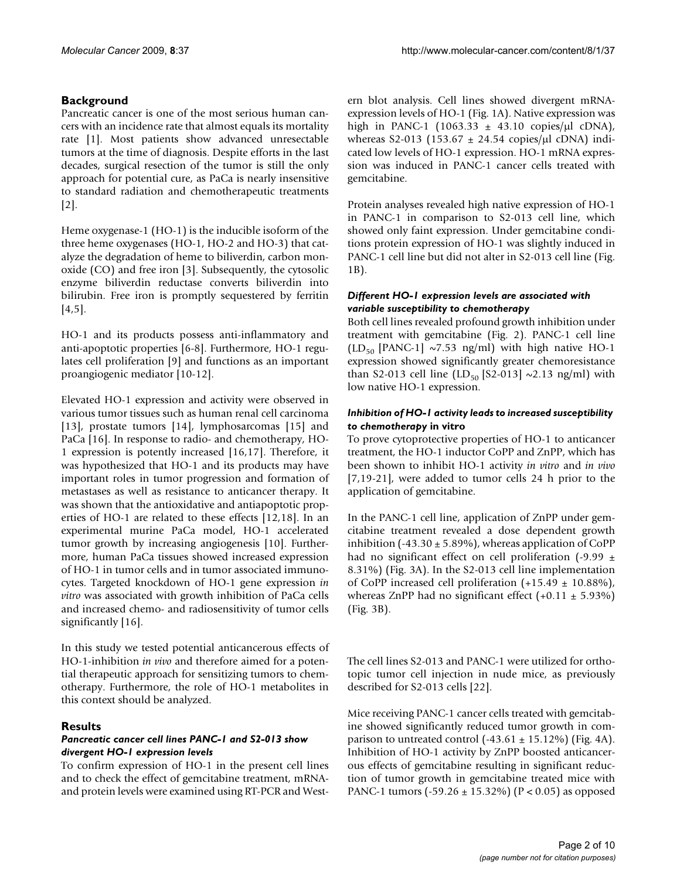## **Background**

Pancreatic cancer is one of the most serious human cancers with an incidence rate that almost equals its mortality rate [\[1\]](#page-7-0). Most patients show advanced unresectable tumors at the time of diagnosis. Despite efforts in the last decades, surgical resection of the tumor is still the only approach for potential cure, as PaCa is nearly insensitive to standard radiation and chemotherapeutic treatments [[2\]](#page-7-1).

Heme oxygenase-1 (HO-1) is the inducible isoform of the three heme oxygenases (HO-1, HO-2 and HO-3) that catalyze the degradation of heme to biliverdin, carbon monoxide (CO) and free iron [\[3\]](#page-7-2). Subsequently, the cytosolic enzyme biliverdin reductase converts biliverdin into bilirubin. Free iron is promptly sequestered by ferritin [[4](#page-7-3)[,5\]](#page-7-4).

HO-1 and its products possess anti-inflammatory and anti-apoptotic properties [[6-](#page-8-0)[8](#page-8-1)]. Furthermore, HO-1 regulates cell proliferation [[9\]](#page-8-2) and functions as an important proangiogenic mediator [\[10](#page-8-3)[-12\]](#page-8-4).

Elevated HO-1 expression and activity were observed in various tumor tissues such as human renal cell carcinoma [[13](#page-8-5)], prostate tumors [\[14\]](#page-8-6), lymphosarcomas [[15](#page-8-7)] and PaCa [[16\]](#page-8-8). In response to radio- and chemotherapy, HO-1 expression is potently increased [\[16](#page-8-8),[17\]](#page-8-9). Therefore, it was hypothesized that HO-1 and its products may have important roles in tumor progression and formation of metastases as well as resistance to anticancer therapy. It was shown that the antioxidative and antiapoptotic properties of HO-1 are related to these effects [\[12](#page-8-4),[18\]](#page-8-10). In an experimental murine PaCa model, HO-1 accelerated tumor growth by increasing angiogenesis [\[10](#page-8-3)]. Furthermore, human PaCa tissues showed increased expression of HO-1 in tumor cells and in tumor associated immunocytes. Targeted knockdown of HO-1 gene expression *in vitro* was associated with growth inhibition of PaCa cells and increased chemo- and radiosensitivity of tumor cells significantly [\[16](#page-8-8)].

In this study we tested potential anticancerous effects of HO-1-inhibition *in vivo* and therefore aimed for a potential therapeutic approach for sensitizing tumors to chemotherapy. Furthermore, the role of HO-1 metabolites in this context should be analyzed.

## **Results**

## *Pancreatic cancer cell lines PANC-1 and S2-013 show divergent HO-1 expression levels*

To confirm expression of HO-1 in the present cell lines and to check the effect of gemcitabine treatment, mRNAand protein levels were examined using RT-PCR and Western blot analysis. Cell lines showed divergent mRNAexpression levels of HO-1 (Fig. [1A](#page-2-0)). Native expression was high in PANC-1 (1063.33  $\pm$  43.10 copies/ $\mu$ l cDNA), whereas S2-013 (153.67  $\pm$  24.54 copies/ $\mu$ l cDNA) indicated low levels of HO-1 expression. HO-1 mRNA expression was induced in PANC-1 cancer cells treated with gemcitabine.

Protein analyses revealed high native expression of HO-1 in PANC-1 in comparison to S2-013 cell line, which showed only faint expression. Under gemcitabine conditions protein expression of HO-1 was slightly induced in PANC-1 cell line but did not alter in S2-013 cell line (Fig. [1](#page-2-0)B).

## *Different HO-1 expression levels are associated with variable susceptibility to chemotherapy*

Both cell lines revealed profound growth inhibition under treatment with gemcitabine (Fig. [2](#page-2-1)). PANC-1 cell line  $(LD_{50}$  [PANC-1] ~7.53 ng/ml) with high native HO-1 expression showed significantly greater chemoresistance than S2-013 cell line (LD<sub>50</sub> [S2-013]  $\sim$ 2.13 ng/ml) with low native HO-1 expression.

## *Inhibition of HO-1 activity leads to increased susceptibility to chemotherapy* **in vitro**

To prove cytoprotective properties of HO-1 to anticancer treatment, the HO-1 inductor CoPP and ZnPP, which has been shown to inhibit HO-1 activity *in vitro* and *in vivo* [[7](#page-8-11)[,19](#page-8-12)[-21](#page-8-13)], were added to tumor cells 24 h prior to the application of gemcitabine.

In the PANC-1 cell line, application of ZnPP under gemcitabine treatment revealed a dose dependent growth inhibition (-43.30  $\pm$  5.89%), whereas application of CoPP had no significant effect on cell proliferation (-9.99  $\pm$ 8.31%) (Fig. [3](#page-3-0)A). In the S2-013 cell line implementation of CoPP increased cell proliferation  $(+15.49 \pm 10.88\%)$ , whereas ZnPP had no significant effect  $(+0.11 \pm 5.93\%)$ (Fig. [3B](#page-3-0)).

The cell lines S2-013 and PANC-1 were utilized for orthotopic tumor cell injection in nude mice, as previously described for S2-013 cells [\[22](#page-8-14)].

Mice receiving PANC-1 cancer cells treated with gemcitabine showed significantly reduced tumor growth in comparison to untreated control  $(-43.61 \pm 15.12\%)$  (Fig. [4](#page-3-1)A). Inhibition of HO-1 activity by ZnPP boosted anticancerous effects of gemcitabine resulting in significant reduction of tumor growth in gemcitabine treated mice with PANC-1 tumors (-59.26 ± 15.32%) (P < 0.05) as opposed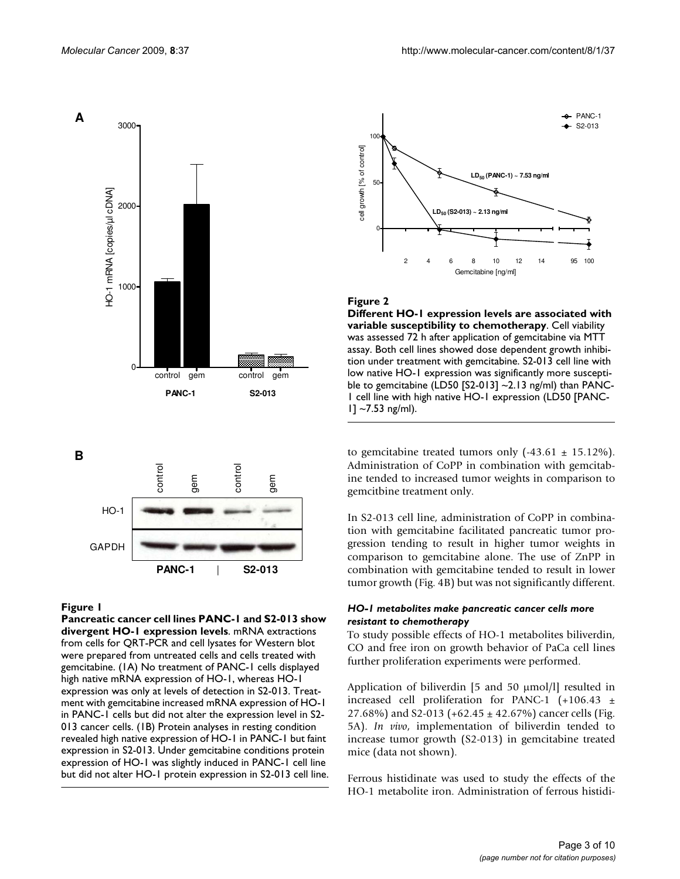<span id="page-2-0"></span>





## **Figure I**

**Pancreatic cancer cell lines PANC-1 and S2-013 show divergent HO-1 expression levels**. mRNA extractions from cells for QRT-PCR and cell lysates for Western blot were prepared from untreated cells and cells treated with gemcitabine. (1A) No treatment of PANC-1 cells displayed high native mRNA expression of HO-1, whereas HO-1 expression was only at levels of detection in S2-013. Treatment with gemcitabine increased mRNA expression of HO-1 in PANC-1 cells but did not alter the expression level in S2- 013 cancer cells. (1B) Protein analyses in resting condition revealed high native expression of HO-1 in PANC-1 but faint expression in S2-013. Under gemcitabine conditions protein expression of HO-1 was slightly induced in PANC-1 cell line but did not alter HO-1 protein expression in S2-013 cell line.

<span id="page-2-1"></span>

## Figure 2

**Different HO-1 expression levels are associated with variable susceptibility to chemotherapy**. Cell viability was assessed 72 h after application of gemcitabine via MTT assay. Both cell lines showed dose dependent growth inhibition under treatment with gemcitabine. S2-013 cell line with low native HO-1 expression was significantly more susceptible to gemcitabine (LD50 [S2-013]  $\sim$ 2.13 ng/ml) than PANC-1 cell line with high native HO-1 expression (LD50 [PANC- $1$ ] ~7.53 ng/ml).

to gemcitabine treated tumors only  $(-43.61 \pm 15.12\%)$ . Administration of CoPP in combination with gemcitabine tended to increased tumor weights in comparison to gemcitbine treatment only.

In S2-013 cell line, administration of CoPP in combination with gemcitabine facilitated pancreatic tumor progression tending to result in higher tumor weights in comparison to gemcitabine alone. The use of ZnPP in combination with gemcitabine tended to result in lower tumor growth (Fig. [4B](#page-3-1)) but was not significantly different.

## *HO-1 metabolites make pancreatic cancer cells more resistant to chemotherapy*

To study possible effects of HO-1 metabolites biliverdin, CO and free iron on growth behavior of PaCa cell lines further proliferation experiments were performed.

Application of biliverdin [5 and 50 μmol/l] resulted in increased cell proliferation for PANC-1  $(+106.43 +$ 27.68%) and S2-013 (+62.45  $\pm$  42.67%) cancer cells (Fig. [5](#page-4-0)A). *In vivo*, implementation of biliverdin tended to increase tumor growth (S2-013) in gemcitabine treated mice (data not shown).

Ferrous histidinate was used to study the effects of the HO-1 metabolite iron. Administration of ferrous histidi-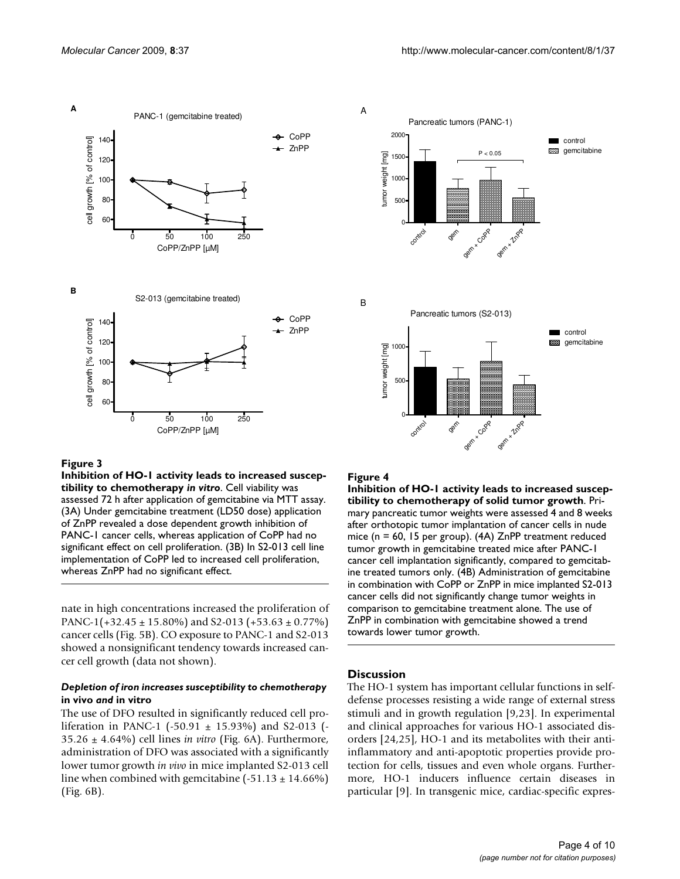<span id="page-3-0"></span>

## Figure 3

**Inhibition of HO-1 activity leads to increased susceptibility to chemotherapy** *in vitro*. Cell viability was assessed 72 h after application of gemcitabine via MTT assay. (3A) Under gemcitabine treatment (LD50 dose) application of ZnPP revealed a dose dependent growth inhibition of PANC-1 cancer cells, whereas application of CoPP had no significant effect on cell proliferation. (3B) In S2-013 cell line implementation of CoPP led to increased cell proliferation, whereas ZnPP had no significant effect.

nate in high concentrations increased the proliferation of PANC-1(+32.45  $\pm$  15.80%) and S2-013 (+53.63  $\pm$  0.77%) cancer cells (Fig. [5B](#page-4-0)). CO exposure to PANC-1 and S2-013 showed a nonsignificant tendency towards increased cancer cell growth (data not shown).

## *Depletion of iron increases susceptibility to chemotherapy*  **in vivo** *and* **in vitro**

The use of DFO resulted in significantly reduced cell proliferation in PANC-1 (-50.91  $\pm$  15.93%) and S2-013 (-35.26 ± 4.64%) cell lines *in vitro* (Fig. [6](#page-4-1)A). Furthermore, administration of DFO was associated with a significantly lower tumor growth *in vivo* in mice implanted S2-013 cell line when combined with gemcitabine  $(-51.13 \pm 14.66\%)$ (Fig. [6B](#page-4-1)).

<span id="page-3-1"></span>

#### Figure 4

**Inhibition of HO-1 activity leads to increased susceptibility to chemotherapy of solid tumor growth**. Primary pancreatic tumor weights were assessed 4 and 8 weeks after orthotopic tumor implantation of cancer cells in nude mice (n = 60, 15 per group). (4A) ZnPP treatment reduced tumor growth in gemcitabine treated mice after PANC-1 cancer cell implantation significantly, compared to gemcitabine treated tumors only. (4B) Administration of gemcitabine in combination with CoPP or ZnPP in mice implanted S2-013 cancer cells did not significantly change tumor weights in comparison to gemcitabine treatment alone. The use of ZnPP in combination with gemcitabine showed a trend towards lower tumor growth.

#### **Discussion**

The HO-1 system has important cellular functions in selfdefense processes resisting a wide range of external stress stimuli and in growth regulation [\[9,](#page-8-2)[23\]](#page-8-15). In experimental and clinical approaches for various HO-1 associated disorders [[24,](#page-8-16)[25](#page-8-17)], HO-1 and its metabolites with their antiinflammatory and anti-apoptotic properties provide protection for cells, tissues and even whole organs. Furthermore, HO-1 inducers influence certain diseases in particular [[9](#page-8-2)]. In transgenic mice, cardiac-specific expres-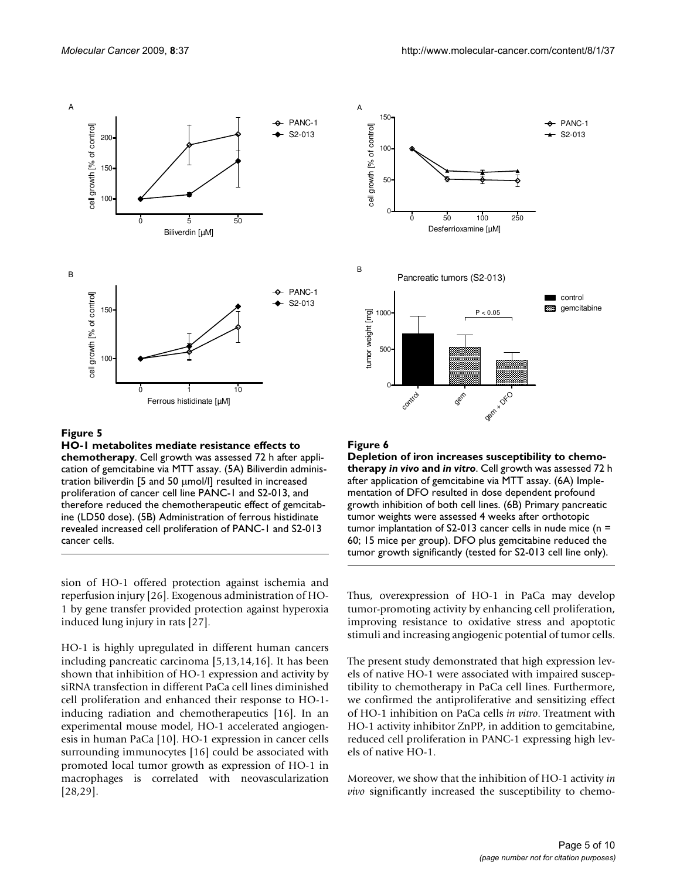

<span id="page-4-0"></span>

## Figure 5

**HO-1 metabolites mediate resistance effects to chemotherapy**. Cell growth was assessed 72 h after application of gemcitabine via MTT assay. (5A) Biliverdin administration biliverdin [5 and 50 μmol/l] resulted in increased proliferation of cancer cell line PANC-1 and S2-013, and therefore reduced the chemotherapeutic effect of gemcitabine (LD50 dose). (5B) Administration of ferrous histidinate revealed increased cell proliferation of PANC-1 and S2-013 cancer cells.

sion of HO-1 offered protection against ischemia and reperfusion injury [[26\]](#page-8-18). Exogenous administration of HO-1 by gene transfer provided protection against hyperoxia induced lung injury in rats [[27\]](#page-8-19).

HO-1 is highly upregulated in different human cancers including pancreatic carcinoma [[5](#page-7-4),[13](#page-8-5),[14](#page-8-6)[,16](#page-8-8)]. It has been shown that inhibition of HO-1 expression and activity by siRNA transfection in different PaCa cell lines diminished cell proliferation and enhanced their response to HO-1 inducing radiation and chemotherapeutics [[16\]](#page-8-8). In an experimental mouse model, HO-1 accelerated angiogenesis in human PaCa [\[10](#page-8-3)]. HO-1 expression in cancer cells surrounding immunocytes [\[16\]](#page-8-8) could be associated with promoted local tumor growth as expression of HO-1 in macrophages is correlated with neovascularization [[28](#page-8-20),[29\]](#page-8-21).

<span id="page-4-1"></span>

## **Figure 6**

**Depletion of iron increases susceptibility to chemotherapy** *in vivo* **and** *in vitro*. Cell growth was assessed 72 h after application of gemcitabine via MTT assay. (6A) Implementation of DFO resulted in dose dependent profound growth inhibition of both cell lines. (6B) Primary pancreatic tumor weights were assessed 4 weeks after orthotopic tumor implantation of S2-013 cancer cells in nude mice (n = 60; 15 mice per group). DFO plus gemcitabine reduced the tumor growth significantly (tested for S2-013 cell line only).

Thus, overexpression of HO-1 in PaCa may develop tumor-promoting activity by enhancing cell proliferation, improving resistance to oxidative stress and apoptotic stimuli and increasing angiogenic potential of tumor cells.

The present study demonstrated that high expression levels of native HO-1 were associated with impaired susceptibility to chemotherapy in PaCa cell lines. Furthermore, we confirmed the antiproliferative and sensitizing effect of HO-1 inhibition on PaCa cells *in vitro*. Treatment with HO-1 activity inhibitor ZnPP, in addition to gemcitabine, reduced cell proliferation in PANC-1 expressing high levels of native HO-1.

Moreover, we show that the inhibition of HO-1 activity *in vivo* significantly increased the susceptibility to chemo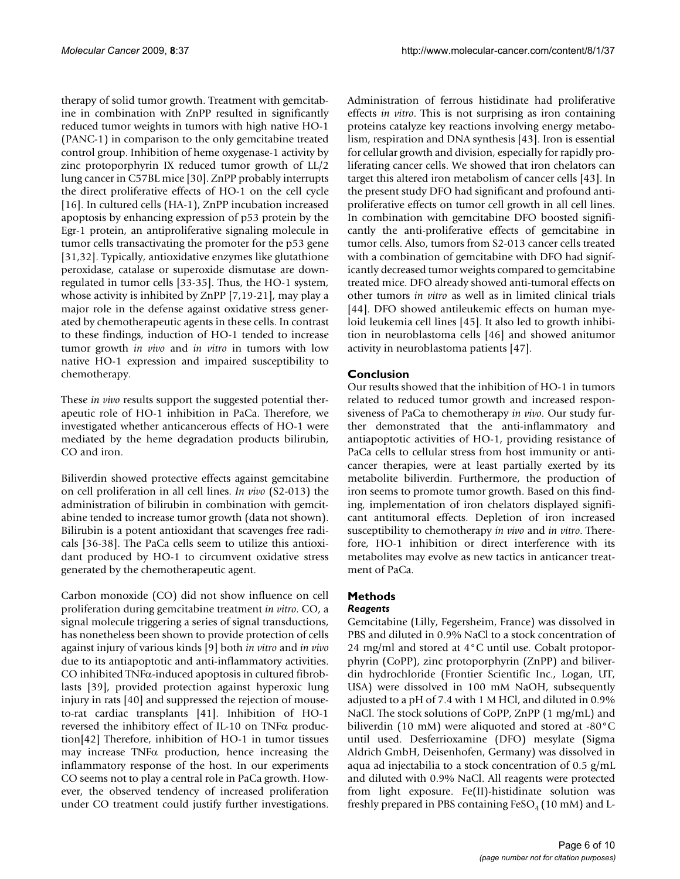therapy of solid tumor growth. Treatment with gemcitabine in combination with ZnPP resulted in significantly reduced tumor weights in tumors with high native HO-1 (PANC-1) in comparison to the only gemcitabine treated control group. Inhibition of heme oxygenase-1 activity by zinc protoporphyrin IX reduced tumor growth of LL/2 lung cancer in C57BL mice [\[30](#page-8-22)]. ZnPP probably interrupts the direct proliferative effects of HO-1 on the cell cycle [[16](#page-8-8)]. In cultured cells (HA-1), ZnPP incubation increased apoptosis by enhancing expression of p53 protein by the Egr-1 protein, an antiproliferative signaling molecule in tumor cells transactivating the promoter for the p53 gene [[31](#page-8-23),[32\]](#page-8-24). Typically, antioxidative enzymes like glutathione peroxidase, catalase or superoxide dismutase are downregulated in tumor cells [\[33](#page-8-25)[-35](#page-8-26)]. Thus, the HO-1 system, whose activity is inhibited by ZnPP [\[7](#page-8-11)[,19](#page-8-12)[-21\]](#page-8-13), may play a major role in the defense against oxidative stress generated by chemotherapeutic agents in these cells. In contrast to these findings, induction of HO-1 tended to increase tumor growth *in vivo* and *in vitro* in tumors with low native HO-1 expression and impaired susceptibility to chemotherapy.

These *in vivo* results support the suggested potential therapeutic role of HO-1 inhibition in PaCa. Therefore, we investigated whether anticancerous effects of HO-1 were mediated by the heme degradation products bilirubin, CO and iron.

Biliverdin showed protective effects against gemcitabine on cell proliferation in all cell lines. *In vivo* (S2-013) the administration of bilirubin in combination with gemcitabine tended to increase tumor growth (data not shown). Bilirubin is a potent antioxidant that scavenges free radicals [[36](#page-8-27)[-38](#page-8-28)]. The PaCa cells seem to utilize this antioxidant produced by HO-1 to circumvent oxidative stress generated by the chemotherapeutic agent.

Carbon monoxide (CO) did not show influence on cell proliferation during gemcitabine treatment *in vitro*. CO, a signal molecule triggering a series of signal transductions, has nonetheless been shown to provide protection of cells against injury of various kinds [[9\]](#page-8-2) both *in vitro* and *in vivo* due to its antiapoptotic and anti-inflammatory activities. CO inhibited TNFα-induced apoptosis in cultured fibroblasts [\[39\]](#page-8-29), provided protection against hyperoxic lung injury in rats [[40\]](#page-8-30) and suppressed the rejection of mouseto-rat cardiac transplants [\[41](#page-8-31)]. Inhibition of HO-1 reversed the inhibitory effect of IL-10 on TNFα production[[42\]](#page-8-32) Therefore, inhibition of HO-1 in tumor tissues may increase  $TNF\alpha$  production, hence increasing the inflammatory response of the host. In our experiments CO seems not to play a central role in PaCa growth. However, the observed tendency of increased proliferation under CO treatment could justify further investigations.

Administration of ferrous histidinate had proliferative effects *in vitro*. This is not surprising as iron containing proteins catalyze key reactions involving energy metabolism, respiration and DNA synthesis [[43\]](#page-8-33). Iron is essential for cellular growth and division, especially for rapidly proliferating cancer cells. We showed that iron chelators can target this altered iron metabolism of cancer cells [[43\]](#page-8-33). In the present study DFO had significant and profound antiproliferative effects on tumor cell growth in all cell lines. In combination with gemcitabine DFO boosted significantly the anti-proliferative effects of gemcitabine in tumor cells. Also, tumors from S2-013 cancer cells treated with a combination of gemcitabine with DFO had significantly decreased tumor weights compared to gemcitabine treated mice. DFO already showed anti-tumoral effects on other tumors *in vitro* as well as in limited clinical trials [[44](#page-8-34)]. DFO showed antileukemic effects on human myeloid leukemia cell lines [\[45](#page-8-35)]. It also led to growth inhibition in neuroblastoma cells [[46\]](#page-8-36) and showed anitumor activity in neuroblastoma patients [[47](#page-9-0)].

## **Conclusion**

Our results showed that the inhibition of HO-1 in tumors related to reduced tumor growth and increased responsiveness of PaCa to chemotherapy *in vivo*. Our study further demonstrated that the anti-inflammatory and antiapoptotic activities of HO-1, providing resistance of PaCa cells to cellular stress from host immunity or anticancer therapies, were at least partially exerted by its metabolite biliverdin. Furthermore, the production of iron seems to promote tumor growth. Based on this finding, implementation of iron chelators displayed significant antitumoral effects. Depletion of iron increased susceptibility to chemotherapy *in vivo* and *in vitro*. Therefore, HO-1 inhibition or direct interference with its metabolites may evolve as new tactics in anticancer treatment of PaCa.

## **Methods**

## *Reagents*

Gemcitabine (Lilly, Fegersheim, France) was dissolved in PBS and diluted in 0.9% NaCl to a stock concentration of 24 mg/ml and stored at 4°C until use. Cobalt protoporphyrin (CoPP), zinc protoporphyrin (ZnPP) and biliverdin hydrochloride (Frontier Scientific Inc., Logan, UT, USA) were dissolved in 100 mM NaOH, subsequently adjusted to a pH of 7.4 with 1 M HCl, and diluted in 0.9% NaCl. The stock solutions of CoPP, ZnPP (1 mg/mL) and biliverdin (10 mM) were aliquoted and stored at -80°C until used. Desferrioxamine (DFO) mesylate (Sigma Aldrich GmbH, Deisenhofen, Germany) was dissolved in aqua ad injectabilia to a stock concentration of 0.5 g/mL and diluted with 0.9% NaCl. All reagents were protected from light exposure. Fe(II)-histidinate solution was freshly prepared in PBS containing  $FeSO<sub>4</sub>(10 \text{ mM})$  and L-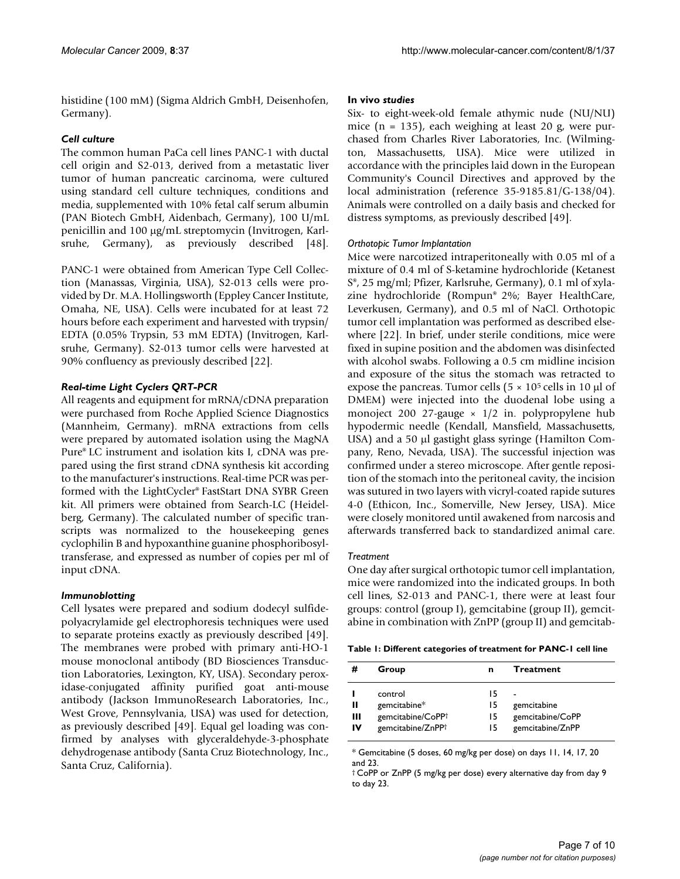histidine (100 mM) (Sigma Aldrich GmbH, Deisenhofen, Germany).

## *Cell culture*

The common human PaCa cell lines PANC-1 with ductal cell origin and S2-013, derived from a metastatic liver tumor of human pancreatic carcinoma, were cultured using standard cell culture techniques, conditions and media, supplemented with 10% fetal calf serum albumin (PAN Biotech GmbH, Aidenbach, Germany), 100 U/mL penicillin and 100 μg/mL streptomycin (Invitrogen, Karlsruhe, Germany), as previously described [\[48](#page-9-1)].

PANC-1 were obtained from American Type Cell Collection (Manassas, Virginia, USA), S2-013 cells were provided by Dr. M.A. Hollingsworth (Eppley Cancer Institute, Omaha, NE, USA). Cells were incubated for at least 72 hours before each experiment and harvested with trypsin/ EDTA (0.05% Trypsin, 53 mM EDTA) (Invitrogen, Karlsruhe, Germany). S2-013 tumor cells were harvested at 90% confluency as previously described [[22\]](#page-8-14).

## *Real-time Light Cyclers QRT-PCR*

All reagents and equipment for mRNA/cDNA preparation were purchased from Roche Applied Science Diagnostics (Mannheim, Germany). mRNA extractions from cells were prepared by automated isolation using the MagNA Pure® LC instrument and isolation kits I, cDNA was prepared using the first strand cDNA synthesis kit according to the manufacturer's instructions. Real-time PCR was performed with the LightCycler® FastStart DNA SYBR Green kit. All primers were obtained from Search-LC (Heidelberg, Germany). The calculated number of specific transcripts was normalized to the housekeeping genes cyclophilin B and hypoxanthine guanine phosphoribosyltransferase, and expressed as number of copies per ml of input cDNA.

## *Immunoblotting*

Cell lysates were prepared and sodium dodecyl sulfidepolyacrylamide gel electrophoresis techniques were used to separate proteins exactly as previously described [\[49](#page-9-2)]. The membranes were probed with primary anti-HO-1 mouse monoclonal antibody (BD Biosciences Transduction Laboratories, Lexington, KY, USA). Secondary peroxidase-conjugated affinity purified goat anti-mouse antibody (Jackson ImmunoResearch Laboratories, Inc., West Grove, Pennsylvania, USA) was used for detection, as previously described [\[49](#page-9-2)]. Equal gel loading was confirmed by analyses with glyceraldehyde-3-phosphate dehydrogenase antibody (Santa Cruz Biotechnology, Inc., Santa Cruz, California).

#### **In vivo** *studies*

Six- to eight-week-old female athymic nude (NU/NU) mice (n = 135), each weighing at least 20 g, were purchased from Charles River Laboratories, Inc. (Wilmington, Massachusetts, USA). Mice were utilized in accordance with the principles laid down in the European Community's Council Directives and approved by the local administration (reference 35-9185.81/G-138/04). Animals were controlled on a daily basis and checked for distress symptoms, as previously described [\[49](#page-9-2)].

## *Orthotopic Tumor Implantation*

Mice were narcotized intraperitoneally with 0.05 ml of a mixture of 0.4 ml of S-ketamine hydrochloride (Ketanest S®, 25 mg/ml; Pfizer, Karlsruhe, Germany), 0.1 ml of xylazine hydrochloride (Rompun® 2%; Bayer HealthCare, Leverkusen, Germany), and 0.5 ml of NaCl. Orthotopic tumor cell implantation was performed as described elsewhere [\[22](#page-8-14)]. In brief, under sterile conditions, mice were fixed in supine position and the abdomen was disinfected with alcohol swabs. Following a 0.5 cm midline incision and exposure of the situs the stomach was retracted to expose the pancreas. Tumor cells  $(5 \times 10^5 \text{ cells in } 10 \text{ µl of})$ DMEM) were injected into the duodenal lobe using a monoject 200 27-gauge × 1/2 in. polypropylene hub hypodermic needle (Kendall, Mansfield, Massachusetts, USA) and a 50 μl gastight glass syringe (Hamilton Company, Reno, Nevada, USA). The successful injection was confirmed under a stereo microscope. After gentle reposition of the stomach into the peritoneal cavity, the incision was sutured in two layers with vicryl-coated rapide sutures 4-0 (Ethicon, Inc., Somerville, New Jersey, USA). Mice were closely monitored until awakened from narcosis and afterwards transferred back to standardized animal care.

#### *Treatment*

One day after surgical orthotopic tumor cell implantation, mice were randomized into the indicated groups. In both cell lines, S2-013 and PANC-1, there were at least four groups: control (group I), gemcitabine (group II), gemcitabine in combination with ZnPP (group II) and gemcitab-

<span id="page-6-0"></span>**Table 1: Different categories of treatment for PANC-1 cell line**

| #  | Group                         | n  | <b>Treatment</b> |
|----|-------------------------------|----|------------------|
|    | control                       | 15 |                  |
| Ш  | gemcitabine*                  | 15 | gemcitabine      |
| Ш  | gemcitabine/CoPP <sup>+</sup> | 15 | gemcitabine/CoPP |
| IV | gemcitabine/ZnPP <sup>+</sup> | 15 | gemcitabine/ZnPP |

\* Gemcitabine (5 doses, 60 mg/kg per dose) on days 11, 14, 17, 20 and 23.

† CoPP or ZnPP (5 mg/kg per dose) every alternative day from day 9 to day 23.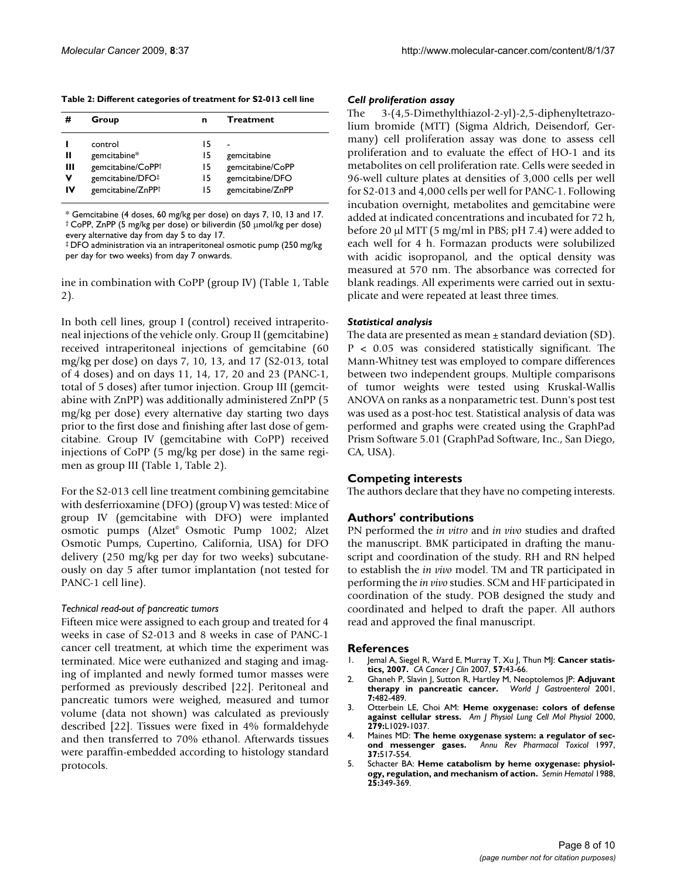<span id="page-7-5"></span>

| Table 2: Different categories of treatment for S2-013 cell line |  |  |  |  |
|-----------------------------------------------------------------|--|--|--|--|
|-----------------------------------------------------------------|--|--|--|--|

|             | Group                                                            | n                    | <b>Treatment</b>                                   |
|-------------|------------------------------------------------------------------|----------------------|----------------------------------------------------|
| Ш<br>Ш<br>v | control<br>gemcitabine*<br>gemcitabine/CoPP+<br>gemcitabine/DFO# | 15<br>15<br>15<br>15 | gemcitabine<br>gemcitabine/CoPP<br>gemcitabine/DFO |
| IV          | gemcitabine/ZnPP+                                                | 15                   | gemcitabine/ZnPP                                   |

\* Gemcitabine (4 doses, 60 mg/kg per dose) on days 7, 10, 13 and 17. † CoPP, ZnPP (5 mg/kg per dose) or biliverdin (50 μmol/kg per dose) every alternative day from day 5 to day 17.

‡ DFO administration via an intraperitoneal osmotic pump (250 mg/kg per day for two weeks) from day 7 onwards.

ine in combination with CoPP (group IV) (Table [1](#page-6-0), Table [2\)](#page-7-5).

In both cell lines, group I (control) received intraperitoneal injections of the vehicle only. Group II (gemcitabine) received intraperitoneal injections of gemcitabine (60 mg/kg per dose) on days 7, 10, 13, and 17 (S2-013, total of 4 doses) and on days 11, 14, 17, 20 and 23 (PANC-1, total of 5 doses) after tumor injection. Group III (gemcitabine with ZnPP) was additionally administered ZnPP (5 mg/kg per dose) every alternative day starting two days prior to the first dose and finishing after last dose of gemcitabine. Group IV (gemcitabine with CoPP) received injections of CoPP (5 mg/kg per dose) in the same regimen as group III (Table [1,](#page-6-0) Table [2\)](#page-7-5).

For the S2-013 cell line treatment combining gemcitabine with desferrioxamine (DFO) (group V) was tested: Mice of group IV (gemcitabine with DFO) were implanted osmotic pumps (Alzet<sup>®</sup> Osmotic Pump 1002; Alzet Osmotic Pumps, Cupertino, California, USA) for DFO delivery (250 mg/kg per day for two weeks) subcutaneously on day 5 after tumor implantation (not tested for PANC-1 cell line).

## *Technical read-out of pancreatic tumors*

Fifteen mice were assigned to each group and treated for 4 weeks in case of S2-013 and 8 weeks in case of PANC-1 cancer cell treatment, at which time the experiment was terminated. Mice were euthanized and staging and imaging of implanted and newly formed tumor masses were performed as previously described [[22\]](#page-8-14). Peritoneal and pancreatic tumors were weighed, measured and tumor volume (data not shown) was calculated as previously described [[22\]](#page-8-14). Tissues were fixed in 4% formaldehyde and then transferred to 70% ethanol. Afterwards tissues were paraffin-embedded according to histology standard protocols.

#### *Cell proliferation assay*

The 3-(4,5-Dimethylthiazol-2-yl)-2,5-diphenyltetrazolium bromide (MTT) (Sigma Aldrich, Deisendorf, Germany) cell proliferation assay was done to assess cell proliferation and to evaluate the effect of HO-1 and its metabolites on cell proliferation rate. Cells were seeded in 96-well culture plates at densities of 3,000 cells per well for S2-013 and 4,000 cells per well for PANC-1. Following incubation overnight, metabolites and gemcitabine were added at indicated concentrations and incubated for 72 h, before 20 μl MTT (5 mg/ml in PBS; pH 7.4) were added to each well for 4 h. Formazan products were solubilized with acidic isopropanol, and the optical density was measured at 570 nm. The absorbance was corrected for blank readings. All experiments were carried out in sextuplicate and were repeated at least three times.

#### *Statistical analysis*

The data are presented as mean  $\pm$  standard deviation (SD). P < 0.05 was considered statistically significant. The Mann-Whitney test was employed to compare differences between two independent groups. Multiple comparisons of tumor weights were tested using Kruskal-Wallis ANOVA on ranks as a nonparametric test. Dunn's post test was used as a post-hoc test. Statistical analysis of data was performed and graphs were created using the GraphPad Prism Software 5.01 (GraphPad Software, Inc., San Diego, CA, USA).

## **Competing interests**

The authors declare that they have no competing interests.

## **Authors' contributions**

PN performed the *in vitro* and *in vivo* studies and drafted the manuscript. BMK participated in drafting the manuscript and coordination of the study. RH and RN helped to establish the *in vivo* model. TM and TR participated in performing the *in vivo* studies. SCM and HF participated in coordination of the study. POB designed the study and coordinated and helped to draft the paper. All authors read and approved the final manuscript.

#### **References**

- <span id="page-7-0"></span>1. Jemal A, Siegel R, Ward E, Murray T, Xu J, Thun MJ: **[Cancer statis](http://www.ncbi.nlm.nih.gov/entrez/query.fcgi?cmd=Retrieve&db=PubMed&dopt=Abstract&list_uids=17237035)[tics, 2007.](http://www.ncbi.nlm.nih.gov/entrez/query.fcgi?cmd=Retrieve&db=PubMed&dopt=Abstract&list_uids=17237035)** *CA Cancer J Clin* 2007, **57:**43-66.
- <span id="page-7-1"></span>2. Ghaneh P, Slavin J, Sutton R, Hartley M, Neoptolemos JP: **[Adjuvant](http://www.ncbi.nlm.nih.gov/entrez/query.fcgi?cmd=Retrieve&db=PubMed&dopt=Abstract&list_uids=11819814) [therapy in pancreatic cancer.](http://www.ncbi.nlm.nih.gov/entrez/query.fcgi?cmd=Retrieve&db=PubMed&dopt=Abstract&list_uids=11819814)** *World J Gastroenterol* 2001, **7:**482-489.
- <span id="page-7-2"></span>3. Otterbein LE, Choi AM: **[Heme oxygenase: colors of defense](http://www.ncbi.nlm.nih.gov/entrez/query.fcgi?cmd=Retrieve&db=PubMed&dopt=Abstract&list_uids=11076792) [against cellular stress.](http://www.ncbi.nlm.nih.gov/entrez/query.fcgi?cmd=Retrieve&db=PubMed&dopt=Abstract&list_uids=11076792)** *Am J Physiol Lung Cell Mol Physiol* 2000, **279:**L1029-1037.
- <span id="page-7-3"></span>4. Maines MD: **[The heme oxygenase system: a regulator of sec](http://www.ncbi.nlm.nih.gov/entrez/query.fcgi?cmd=Retrieve&db=PubMed&dopt=Abstract&list_uids=9131263)[ond messenger gases.](http://www.ncbi.nlm.nih.gov/entrez/query.fcgi?cmd=Retrieve&db=PubMed&dopt=Abstract&list_uids=9131263)** *Annu Rev Pharmacol Toxicol* 1997, **37:**517-554.
- <span id="page-7-4"></span>5. Schacter BA: **[Heme catabolism by heme oxygenase: physiol](http://www.ncbi.nlm.nih.gov/entrez/query.fcgi?cmd=Retrieve&db=PubMed&dopt=Abstract&list_uids=3064316)[ogy, regulation, and mechanism of action.](http://www.ncbi.nlm.nih.gov/entrez/query.fcgi?cmd=Retrieve&db=PubMed&dopt=Abstract&list_uids=3064316)** *Semin Hematol* 1988, **25:**349-369.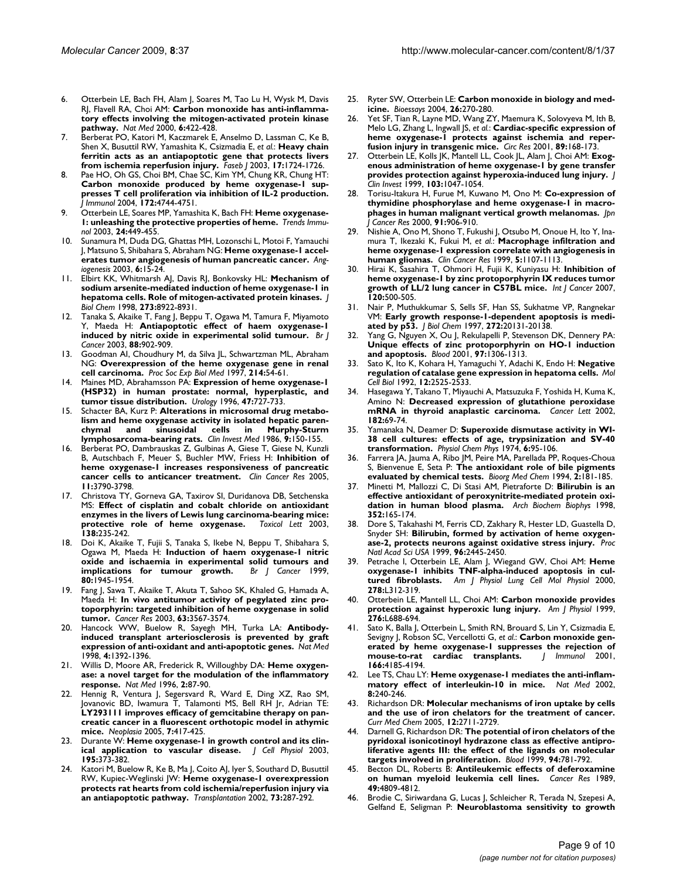- <span id="page-8-0"></span>6. Otterbein LE, Bach FH, Alam J, Soares M, Tao Lu H, Wysk M, Davis RJ, Flavell RA, Choi AM: **[Carbon monoxide has anti-inflamma](http://www.ncbi.nlm.nih.gov/entrez/query.fcgi?cmd=Retrieve&db=PubMed&dopt=Abstract&list_uids=10742149)[tory effects involving the mitogen-activated protein kinase](http://www.ncbi.nlm.nih.gov/entrez/query.fcgi?cmd=Retrieve&db=PubMed&dopt=Abstract&list_uids=10742149) [pathway.](http://www.ncbi.nlm.nih.gov/entrez/query.fcgi?cmd=Retrieve&db=PubMed&dopt=Abstract&list_uids=10742149)** *Nat Med* 2000, **6:**422-428.
- <span id="page-8-11"></span>7. Berberat PO, Katori M, Kaczmarek E, Anselmo D, Lassman C, Ke B, Shen X, Busuttil RW, Yamashita K, Csizmadia E, *et al.*: **[Heavy chain](http://www.ncbi.nlm.nih.gov/entrez/query.fcgi?cmd=Retrieve&db=PubMed&dopt=Abstract&list_uids=12958189) [ferritin acts as an antiapoptotic gene that protects livers](http://www.ncbi.nlm.nih.gov/entrez/query.fcgi?cmd=Retrieve&db=PubMed&dopt=Abstract&list_uids=12958189) [from ischemia reperfusion injury.](http://www.ncbi.nlm.nih.gov/entrez/query.fcgi?cmd=Retrieve&db=PubMed&dopt=Abstract&list_uids=12958189)** *Faseb J* 2003, **17:**1724-1726.
- <span id="page-8-1"></span>8. Pae HO, Oh GS, Choi BM, Chae SC, Kim YM, Chung KR, Chung HT: **[Carbon monoxide produced by heme oxygenase-1 sup](http://www.ncbi.nlm.nih.gov/entrez/query.fcgi?cmd=Retrieve&db=PubMed&dopt=Abstract&list_uids=15067050)presses T cell proliferation via inhibition of IL-2 production.** *J Immunol* 2004, **172:**4744-4751.
- <span id="page-8-2"></span>9. Otterbein LE, Soares MP, Yamashita K, Bach FH: **[Heme oxygenase-](http://www.ncbi.nlm.nih.gov/entrez/query.fcgi?cmd=Retrieve&db=PubMed&dopt=Abstract&list_uids=12909459)[1: unleashing the protective properties of heme.](http://www.ncbi.nlm.nih.gov/entrez/query.fcgi?cmd=Retrieve&db=PubMed&dopt=Abstract&list_uids=12909459)** *Trends Immunol* 2003, **24:**449-455.
- <span id="page-8-3"></span>10. Sunamura M, Duda DG, Ghattas MH, Lozonschi L, Motoi F, Yamauchi J, Matsuno S, Shibahara S, Abraham NG: **[Heme oxygenase-1 accel](http://www.ncbi.nlm.nih.gov/entrez/query.fcgi?cmd=Retrieve&db=PubMed&dopt=Abstract&list_uids=14517400)[erates tumor angiogenesis of human pancreatic cancer.](http://www.ncbi.nlm.nih.gov/entrez/query.fcgi?cmd=Retrieve&db=PubMed&dopt=Abstract&list_uids=14517400)** *Angiogenesis* 2003, **6:**15-24.
- 11. Elbirt KK, Whitmarsh AJ, Davis RJ, Bonkovsky HL: **[Mechanism of](http://www.ncbi.nlm.nih.gov/entrez/query.fcgi?cmd=Retrieve&db=PubMed&dopt=Abstract&list_uids=9535875) [sodium arsenite-mediated induction of heme oxygenase-1 in](http://www.ncbi.nlm.nih.gov/entrez/query.fcgi?cmd=Retrieve&db=PubMed&dopt=Abstract&list_uids=9535875) [hepatoma cells. Role of mitogen-activated protein kinases.](http://www.ncbi.nlm.nih.gov/entrez/query.fcgi?cmd=Retrieve&db=PubMed&dopt=Abstract&list_uids=9535875)** *J Biol Chem* 1998, **273:**8922-8931.
- <span id="page-8-4"></span>12. Tanaka S, Akaike T, Fang J, Beppu T, Ogawa M, Tamura F, Miyamoto Y, Maeda H: **[Antiapoptotic effect of haem oxygenase-1](http://www.ncbi.nlm.nih.gov/entrez/query.fcgi?cmd=Retrieve&db=PubMed&dopt=Abstract&list_uids=12644828) [induced by nitric oxide in experimental solid tumour.](http://www.ncbi.nlm.nih.gov/entrez/query.fcgi?cmd=Retrieve&db=PubMed&dopt=Abstract&list_uids=12644828)** *Br J Cancer* 2003, **88:**902-909.
- <span id="page-8-5"></span>13. Goodman AI, Choudhury M, da Silva JL, Schwartzman ML, Abraham NG: **[Overexpression of the heme oxygenase gene in renal](http://www.ncbi.nlm.nih.gov/entrez/query.fcgi?cmd=Retrieve&db=PubMed&dopt=Abstract&list_uids=9012361) [cell carcinoma.](http://www.ncbi.nlm.nih.gov/entrez/query.fcgi?cmd=Retrieve&db=PubMed&dopt=Abstract&list_uids=9012361)** *Proc Soc Exp Biol Med* 1997, **214:**54-61.
- <span id="page-8-6"></span>14. Maines MD, Abrahamsson PA: **[Expression of heme oxygenase-1](http://www.ncbi.nlm.nih.gov/entrez/query.fcgi?cmd=Retrieve&db=PubMed&dopt=Abstract&list_uids=8650873) [\(HSP32\) in human prostate: normal, hyperplastic, and](http://www.ncbi.nlm.nih.gov/entrez/query.fcgi?cmd=Retrieve&db=PubMed&dopt=Abstract&list_uids=8650873) [tumor tissue distribution.](http://www.ncbi.nlm.nih.gov/entrez/query.fcgi?cmd=Retrieve&db=PubMed&dopt=Abstract&list_uids=8650873)** *Urology* 1996, **47:**727-733.
- <span id="page-8-7"></span>15. Schacter BA, Kurz P: **[Alterations in microsomal drug metabo](http://www.ncbi.nlm.nih.gov/entrez/query.fcgi?cmd=Retrieve&db=PubMed&dopt=Abstract&list_uids=3093126)[lism and heme oxygenase activity in isolated hepatic paren](http://www.ncbi.nlm.nih.gov/entrez/query.fcgi?cmd=Retrieve&db=PubMed&dopt=Abstract&list_uids=3093126)chymal and sinusoidal cells in Murphy-Sturm [lymphosarcoma-bearing rats.](http://www.ncbi.nlm.nih.gov/entrez/query.fcgi?cmd=Retrieve&db=PubMed&dopt=Abstract&list_uids=3093126)** *Clin Invest Med* 1986, **9:**150-155.
- <span id="page-8-8"></span>16. Berberat PO, Dambrauskas Z, Gulbinas A, Giese T, Giese N, Kunzli B, Autschbach F, Meuer S, Buchler MW, Friess H: **[Inhibition of](http://www.ncbi.nlm.nih.gov/entrez/query.fcgi?cmd=Retrieve&db=PubMed&dopt=Abstract&list_uids=15897578) [heme oxygenase-1 increases responsiveness of pancreatic](http://www.ncbi.nlm.nih.gov/entrez/query.fcgi?cmd=Retrieve&db=PubMed&dopt=Abstract&list_uids=15897578) [cancer cells to anticancer treatment.](http://www.ncbi.nlm.nih.gov/entrez/query.fcgi?cmd=Retrieve&db=PubMed&dopt=Abstract&list_uids=15897578)** *Clin Cancer Res* 2005, **11:**3790-3798.
- <span id="page-8-9"></span>17. Christova TY, Gorneva GA, Taxirov SI, Duridanova DB, Setchenska MS: **[Effect of cisplatin and cobalt chloride on antioxidant](http://www.ncbi.nlm.nih.gov/entrez/query.fcgi?cmd=Retrieve&db=PubMed&dopt=Abstract&list_uids=12565200) [enzymes in the livers of Lewis lung carcinoma-bearing mice:](http://www.ncbi.nlm.nih.gov/entrez/query.fcgi?cmd=Retrieve&db=PubMed&dopt=Abstract&list_uids=12565200)** [protective role of heme oxygenase.](http://www.ncbi.nlm.nih.gov/entrez/query.fcgi?cmd=Retrieve&db=PubMed&dopt=Abstract&list_uids=12565200) **138:**235-242.
- <span id="page-8-10"></span>18. Doi K, Akaike T, Fujii S, Tanaka S, Ikebe N, Beppu T, Shibahara S, Ogawa M, Maeda H: **[Induction of haem oxygenase-1 nitric](http://www.ncbi.nlm.nih.gov/entrez/query.fcgi?cmd=Retrieve&db=PubMed&dopt=Abstract&list_uids=10471043) [oxide and ischaemia in experimental solid tumours and](http://www.ncbi.nlm.nih.gov/entrez/query.fcgi?cmd=Retrieve&db=PubMed&dopt=Abstract&list_uids=10471043) [implications for tumour growth.](http://www.ncbi.nlm.nih.gov/entrez/query.fcgi?cmd=Retrieve&db=PubMed&dopt=Abstract&list_uids=10471043)** *Br J Cancer* 1999, **80:**1945-1954.
- <span id="page-8-12"></span>19. Fang J, Sawa T, Akaike T, Akuta T, Sahoo SK, Khaled G, Hamada A, Maeda H: **[In vivo antitumor activity of pegylated zinc pro](http://www.ncbi.nlm.nih.gov/entrez/query.fcgi?cmd=Retrieve&db=PubMed&dopt=Abstract&list_uids=12839943)[toporphyrin: targeted inhibition of heme oxygenase in solid](http://www.ncbi.nlm.nih.gov/entrez/query.fcgi?cmd=Retrieve&db=PubMed&dopt=Abstract&list_uids=12839943) [tumor.](http://www.ncbi.nlm.nih.gov/entrez/query.fcgi?cmd=Retrieve&db=PubMed&dopt=Abstract&list_uids=12839943)** *Cancer Res* 2003, **63:**3567-3574.
- 20. Hancock WW, Buelow R, Sayegh MH, Turka LA: **[Antibody](http://www.ncbi.nlm.nih.gov/entrez/query.fcgi?cmd=Retrieve&db=PubMed&dopt=Abstract&list_uids=9846576)[induced transplant arteriosclerosis is prevented by graft](http://www.ncbi.nlm.nih.gov/entrez/query.fcgi?cmd=Retrieve&db=PubMed&dopt=Abstract&list_uids=9846576) [expression of anti-oxidant and anti-apoptotic genes.](http://www.ncbi.nlm.nih.gov/entrez/query.fcgi?cmd=Retrieve&db=PubMed&dopt=Abstract&list_uids=9846576)** *Nat Med* 1998, **4:**1392-1396.
- <span id="page-8-13"></span>21. Willis D, Moore AR, Frederick R, Willoughby DA: **[Heme oxygen](http://www.ncbi.nlm.nih.gov/entrez/query.fcgi?cmd=Retrieve&db=PubMed&dopt=Abstract&list_uids=8564848)[ase: a novel target for the modulation of the inflammatory](http://www.ncbi.nlm.nih.gov/entrez/query.fcgi?cmd=Retrieve&db=PubMed&dopt=Abstract&list_uids=8564848) [response.](http://www.ncbi.nlm.nih.gov/entrez/query.fcgi?cmd=Retrieve&db=PubMed&dopt=Abstract&list_uids=8564848)** *Nat Med* 1996, **2:**87-90.
- <span id="page-8-14"></span>22. Hennig R, Ventura J, Segersvard R, Ward E, Ding XZ, Rao SM, Jovanovic BD, Iwamura T, Talamonti MS, Bell RH Jr, Adrian TE: **[LY293111 improves efficacy of gemcitabine therapy on pan](http://www.ncbi.nlm.nih.gov/entrez/query.fcgi?cmd=Retrieve&db=PubMed&dopt=Abstract&list_uids=15967119)creatic cancer in a fluorescent orthotopic model in athymic [mice.](http://www.ncbi.nlm.nih.gov/entrez/query.fcgi?cmd=Retrieve&db=PubMed&dopt=Abstract&list_uids=15967119)** *Neoplasia* 2005, **7:**417-425.
- <span id="page-8-15"></span>23. Durante W: **[Heme oxygenase-1 in growth control and its clin](http://www.ncbi.nlm.nih.gov/entrez/query.fcgi?cmd=Retrieve&db=PubMed&dopt=Abstract&list_uids=12704646)[ical application to vascular disease.](http://www.ncbi.nlm.nih.gov/entrez/query.fcgi?cmd=Retrieve&db=PubMed&dopt=Abstract&list_uids=12704646)** *J Cell Physiol* 2003, **195:**373-382.
- <span id="page-8-16"></span>24. Katori M, Buelow R, Ke B, Ma J, Coito AJ, Iyer S, Southard D, Busuttil RW, Kupiec-Weglinski JW: **[Heme oxygenase-1 overexpression](http://www.ncbi.nlm.nih.gov/entrez/query.fcgi?cmd=Retrieve&db=PubMed&dopt=Abstract&list_uids=11821745) [protects rat hearts from cold ischemia/reperfusion injury via](http://www.ncbi.nlm.nih.gov/entrez/query.fcgi?cmd=Retrieve&db=PubMed&dopt=Abstract&list_uids=11821745) [an antiapoptotic pathway.](http://www.ncbi.nlm.nih.gov/entrez/query.fcgi?cmd=Retrieve&db=PubMed&dopt=Abstract&list_uids=11821745)** *Transplantation* 2002, **73:**287-292.
- <span id="page-8-17"></span>25. Ryter SW, Otterbein LE: **[Carbon monoxide in biology and med](http://www.ncbi.nlm.nih.gov/entrez/query.fcgi?cmd=Retrieve&db=PubMed&dopt=Abstract&list_uids=14988928)[icine.](http://www.ncbi.nlm.nih.gov/entrez/query.fcgi?cmd=Retrieve&db=PubMed&dopt=Abstract&list_uids=14988928)** *Bioessays* 2004, **26:**270-280.
- <span id="page-8-18"></span>Yet SF, Tian R, Layne MD, Wang ZY, Maemura K, Solovyeva M, Ith B, Melo LG, Zhang L, Ingwall JS, *et al.*: **[Cardiac-specific expression of](http://www.ncbi.nlm.nih.gov/entrez/query.fcgi?cmd=Retrieve&db=PubMed&dopt=Abstract&list_uids=11463724) [heme oxygenase-1 protects against ischemia and reper](http://www.ncbi.nlm.nih.gov/entrez/query.fcgi?cmd=Retrieve&db=PubMed&dopt=Abstract&list_uids=11463724)[fusion injury in transgenic mice.](http://www.ncbi.nlm.nih.gov/entrez/query.fcgi?cmd=Retrieve&db=PubMed&dopt=Abstract&list_uids=11463724)** *Circ Res* 2001, **89:**168-173.
- <span id="page-8-19"></span>27. Otterbein LE, Kolls JK, Mantell LL, Cook JL, Alam J, Choi AM: **[Exog](http://www.ncbi.nlm.nih.gov/entrez/query.fcgi?cmd=Retrieve&db=PubMed&dopt=Abstract&list_uids=10194478)[enous administration of heme oxygenase-1 by gene transfer](http://www.ncbi.nlm.nih.gov/entrez/query.fcgi?cmd=Retrieve&db=PubMed&dopt=Abstract&list_uids=10194478) [provides protection against hyperoxia-induced lung injury.](http://www.ncbi.nlm.nih.gov/entrez/query.fcgi?cmd=Retrieve&db=PubMed&dopt=Abstract&list_uids=10194478)** *J Clin Invest* 1999, **103:**1047-1054.
- <span id="page-8-20"></span>28. Torisu-Itakura H, Furue M, Kuwano M, Ono M: **[Co-expression of](http://www.ncbi.nlm.nih.gov/entrez/query.fcgi?cmd=Retrieve&db=PubMed&dopt=Abstract&list_uids=11011118) [thymidine phosphorylase and heme oxygenase-1 in macro](http://www.ncbi.nlm.nih.gov/entrez/query.fcgi?cmd=Retrieve&db=PubMed&dopt=Abstract&list_uids=11011118)[phages in human malignant vertical growth melanomas.](http://www.ncbi.nlm.nih.gov/entrez/query.fcgi?cmd=Retrieve&db=PubMed&dopt=Abstract&list_uids=11011118)** *Jpn J Cancer Res* 2000, **91:**906-910.
- <span id="page-8-21"></span>29. Nishie A, Ono M, Shono T, Fukushi J, Otsubo M, Onoue H, Ito Y, Inamura T, Ikezaki K, Fukui M, *et al.*: **[Macrophage infiltration and](http://www.ncbi.nlm.nih.gov/entrez/query.fcgi?cmd=Retrieve&db=PubMed&dopt=Abstract&list_uids=10353745) [heme oxygenase-1 expression correlate with angiogenesis in](http://www.ncbi.nlm.nih.gov/entrez/query.fcgi?cmd=Retrieve&db=PubMed&dopt=Abstract&list_uids=10353745) [human gliomas.](http://www.ncbi.nlm.nih.gov/entrez/query.fcgi?cmd=Retrieve&db=PubMed&dopt=Abstract&list_uids=10353745)** *Clin Cancer Res* 1999, **5:**1107-1113.
- <span id="page-8-22"></span>30. Hirai K, Sasahira T, Ohmori H, Fujii K, Kuniyasu H: **[Inhibition of](http://www.ncbi.nlm.nih.gov/entrez/query.fcgi?cmd=Retrieve&db=PubMed&dopt=Abstract&list_uids=17066448) [heme oxygenase-1 by zinc protoporphyrin IX reduces tumor](http://www.ncbi.nlm.nih.gov/entrez/query.fcgi?cmd=Retrieve&db=PubMed&dopt=Abstract&list_uids=17066448) [growth of LL/2 lung cancer in C57BL mice.](http://www.ncbi.nlm.nih.gov/entrez/query.fcgi?cmd=Retrieve&db=PubMed&dopt=Abstract&list_uids=17066448)** *Int J Cancer* 2007, **120:**500-505.
- <span id="page-8-23"></span>31. Nair P, Muthukkumar S, Sells SF, Han SS, Sukhatme VP, Rangnekar VM: **[Early growth response-1-dependent apoptosis is medi](http://www.ncbi.nlm.nih.gov/entrez/query.fcgi?cmd=Retrieve&db=PubMed&dopt=Abstract&list_uids=9242687)[ated by p53.](http://www.ncbi.nlm.nih.gov/entrez/query.fcgi?cmd=Retrieve&db=PubMed&dopt=Abstract&list_uids=9242687)** *J Biol Chem* 1997, **272:**20131-20138.
- <span id="page-8-24"></span>Yang G, Nguyen X, Ou J, Rekulapelli P, Stevenson DK, Dennery PA: **[Unique effects of zinc protoporphyrin on HO-1 induction](http://www.ncbi.nlm.nih.gov/entrez/query.fcgi?cmd=Retrieve&db=PubMed&dopt=Abstract&list_uids=11222374) [and apoptosis.](http://www.ncbi.nlm.nih.gov/entrez/query.fcgi?cmd=Retrieve&db=PubMed&dopt=Abstract&list_uids=11222374)** *Blood* 2001, **97:**1306-1313.
- <span id="page-8-25"></span>33. Sato K, Ito K, Kohara H, Yamaguchi Y, Adachi K, Endo H: **[Negative](http://www.ncbi.nlm.nih.gov/entrez/query.fcgi?cmd=Retrieve&db=PubMed&dopt=Abstract&list_uids=1588955) [regulation of catalase gene expression in hepatoma cells.](http://www.ncbi.nlm.nih.gov/entrez/query.fcgi?cmd=Retrieve&db=PubMed&dopt=Abstract&list_uids=1588955)** *Mol Cell Biol* 1992, **12:**2525-2533.
- 34. Hasegawa Y, Takano T, Miyauchi A, Matsuzuka F, Yoshida H, Kuma K, Amino N: **[Decreased expression of glutathione peroxidase](http://www.ncbi.nlm.nih.gov/entrez/query.fcgi?cmd=Retrieve&db=PubMed&dopt=Abstract&list_uids=12175525) [mRNA in thyroid anaplastic carcinoma.](http://www.ncbi.nlm.nih.gov/entrez/query.fcgi?cmd=Retrieve&db=PubMed&dopt=Abstract&list_uids=12175525)** *Cancer Lett* 2002, **182:**69-74.
- <span id="page-8-26"></span>Yamanaka N, Deamer D: [Superoxide dismutase activity in WI-](http://www.ncbi.nlm.nih.gov/entrez/query.fcgi?cmd=Retrieve&db=PubMed&dopt=Abstract&list_uids=4369250)**[38 cell cultures: effects of age, trypsinization and SV-40](http://www.ncbi.nlm.nih.gov/entrez/query.fcgi?cmd=Retrieve&db=PubMed&dopt=Abstract&list_uids=4369250) [transformation.](http://www.ncbi.nlm.nih.gov/entrez/query.fcgi?cmd=Retrieve&db=PubMed&dopt=Abstract&list_uids=4369250)** *Physiol Chem Phys* 1974, **6:**95-106.
- <span id="page-8-27"></span>36. Farrera JA, Jauma A, Ribo JM, Peire MA, Parellada PP, Roques-Choua S, Bienvenue E, Seta P: **[The antioxidant role of bile pigments](http://www.ncbi.nlm.nih.gov/entrez/query.fcgi?cmd=Retrieve&db=PubMed&dopt=Abstract&list_uids=7922130) [evaluated by chemical tests.](http://www.ncbi.nlm.nih.gov/entrez/query.fcgi?cmd=Retrieve&db=PubMed&dopt=Abstract&list_uids=7922130)** *Bioorg Med Chem* 1994, **2:**181-185.
- 37. Minetti M, Mallozzi C, Di Stasi AM, Pietraforte D: **[Bilirubin is an](http://www.ncbi.nlm.nih.gov/entrez/query.fcgi?cmd=Retrieve&db=PubMed&dopt=Abstract&list_uids=9587403) [effective antioxidant of peroxynitrite-mediated protein oxi](http://www.ncbi.nlm.nih.gov/entrez/query.fcgi?cmd=Retrieve&db=PubMed&dopt=Abstract&list_uids=9587403)[dation in human blood plasma.](http://www.ncbi.nlm.nih.gov/entrez/query.fcgi?cmd=Retrieve&db=PubMed&dopt=Abstract&list_uids=9587403)** *Arch Biochem Biophys* 1998, **352:**165-174.
- <span id="page-8-28"></span>38. Dore S, Takahashi M, Ferris CD, Zakhary R, Hester LD, Guastella D, Snyder SH: **[Bilirubin, formed by activation of heme oxygen](http://www.ncbi.nlm.nih.gov/entrez/query.fcgi?cmd=Retrieve&db=PubMed&dopt=Abstract&list_uids=10051662)[ase-2, protects neurons against oxidative stress injury.](http://www.ncbi.nlm.nih.gov/entrez/query.fcgi?cmd=Retrieve&db=PubMed&dopt=Abstract&list_uids=10051662)** *Proc Natl Acad Sci USA* 1999, **96:**2445-2450.
- <span id="page-8-29"></span>39. Petrache I, Otterbein LE, Alam J, Wiegand GW, Choi AM: **[Heme](http://www.ncbi.nlm.nih.gov/entrez/query.fcgi?cmd=Retrieve&db=PubMed&dopt=Abstract&list_uids=10666115) [oxygenase-1 inhibits TNF-alpha-induced apoptosis in cul](http://www.ncbi.nlm.nih.gov/entrez/query.fcgi?cmd=Retrieve&db=PubMed&dopt=Abstract&list_uids=10666115)[tured fibroblasts.](http://www.ncbi.nlm.nih.gov/entrez/query.fcgi?cmd=Retrieve&db=PubMed&dopt=Abstract&list_uids=10666115)** *Am J Physiol Lung Cell Mol Physiol* 2000, **278:**L312-319.
- <span id="page-8-30"></span>40. Otterbein LE, Mantell LL, Choi AM: **[Carbon monoxide provides](http://www.ncbi.nlm.nih.gov/entrez/query.fcgi?cmd=Retrieve&db=PubMed&dopt=Abstract&list_uids=10198367) [protection against hyperoxic lung injury.](http://www.ncbi.nlm.nih.gov/entrez/query.fcgi?cmd=Retrieve&db=PubMed&dopt=Abstract&list_uids=10198367)** *Am J Physiol* 1999, **276:**L688-694.
- <span id="page-8-31"></span>41. Sato K, Balla J, Otterbein L, Smith RN, Brouard S, Lin Y, Csizmadia E, Sevigny J, Robson SC, Vercellotti G, *et al.*: **[Carbon monoxide gen](http://www.ncbi.nlm.nih.gov/entrez/query.fcgi?cmd=Retrieve&db=PubMed&dopt=Abstract&list_uids=11238670)**[erated by heme oxygenase-1 suppresses the rejection of](http://www.ncbi.nlm.nih.gov/entrez/query.fcgi?cmd=Retrieve&db=PubMed&dopt=Abstract&list_uids=11238670) mouse-to-rat cardiac transplants. | Immunol 2001, [mouse-to-rat cardiac transplants.](http://www.ncbi.nlm.nih.gov/entrez/query.fcgi?cmd=Retrieve&db=PubMed&dopt=Abstract&list_uids=11238670) **166:**4185-4194.
- <span id="page-8-32"></span>42. Lee TS, Chau LY: **[Heme oxygenase-1 mediates the anti-inflam](http://www.ncbi.nlm.nih.gov/entrez/query.fcgi?cmd=Retrieve&db=PubMed&dopt=Abstract&list_uids=11875494)[matory effect of interleukin-10 in mice.](http://www.ncbi.nlm.nih.gov/entrez/query.fcgi?cmd=Retrieve&db=PubMed&dopt=Abstract&list_uids=11875494)** *Nat Med* 2002, **8:**240-246.
- <span id="page-8-33"></span>43. Richardson DR: **[Molecular mechanisms of iron uptake by cells](http://www.ncbi.nlm.nih.gov/entrez/query.fcgi?cmd=Retrieve&db=PubMed&dopt=Abstract&list_uids=16305467) [and the use of iron chelators for the treatment of cancer.](http://www.ncbi.nlm.nih.gov/entrez/query.fcgi?cmd=Retrieve&db=PubMed&dopt=Abstract&list_uids=16305467)** *Curr Med Chem* 2005, **12:**2711-2729.
- <span id="page-8-34"></span>44. Darnell G, Richardson DR: **[The potential of iron chelators of the](http://www.ncbi.nlm.nih.gov/entrez/query.fcgi?cmd=Retrieve&db=PubMed&dopt=Abstract&list_uids=10397746) [pyridoxal isonicotinoyl hydrazone class as effective antipro](http://www.ncbi.nlm.nih.gov/entrez/query.fcgi?cmd=Retrieve&db=PubMed&dopt=Abstract&list_uids=10397746)liferative agents III: the effect of the ligands on molecular [targets involved in proliferation.](http://www.ncbi.nlm.nih.gov/entrez/query.fcgi?cmd=Retrieve&db=PubMed&dopt=Abstract&list_uids=10397746)** *Blood* 1999, **94:**781-792.
- <span id="page-8-35"></span>45. Becton DL, Roberts B: **[Antileukemic effects of deferoxamine](http://www.ncbi.nlm.nih.gov/entrez/query.fcgi?cmd=Retrieve&db=PubMed&dopt=Abstract&list_uids=2758414) [on human myeloid leukemia cell lines.](http://www.ncbi.nlm.nih.gov/entrez/query.fcgi?cmd=Retrieve&db=PubMed&dopt=Abstract&list_uids=2758414)** *Cancer Res* 1989, **49:**4809-4812.
- <span id="page-8-36"></span>46. Brodie C, Siriwardana G, Lucas J, Schleicher R, Terada N, Szepesi A, Gelfand E, Seligman P: **[Neuroblastoma sensitivity to growth](http://www.ncbi.nlm.nih.gov/entrez/query.fcgi?cmd=Retrieve&db=PubMed&dopt=Abstract&list_uids=8358725)**